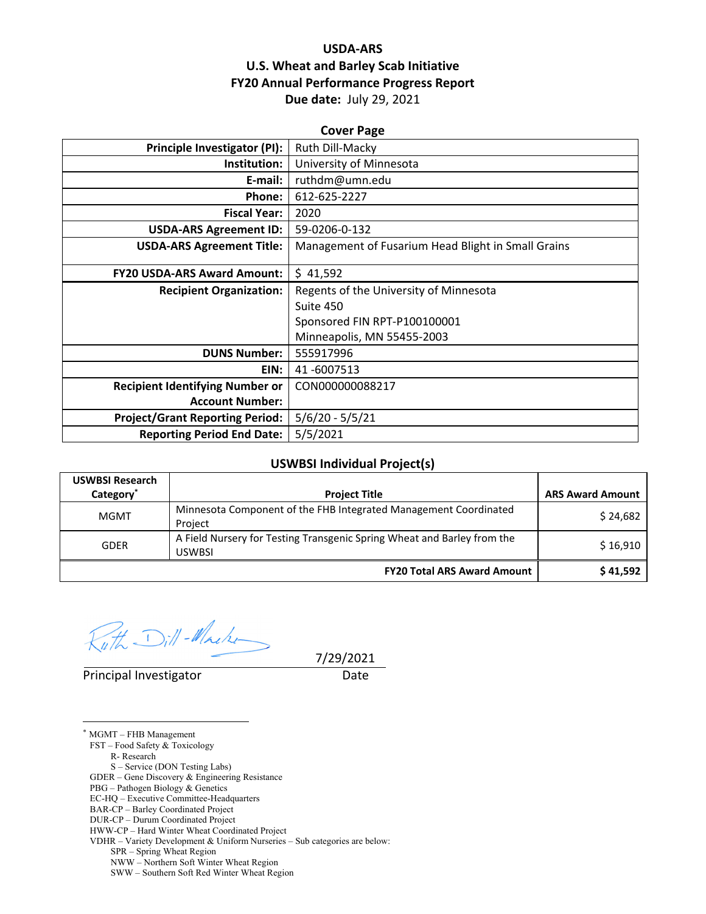## **USDA‐ARS U.S. Wheat and Barley Scab Initiative FY20 Annual Performance Progress Report Due date:** July 29, 2021

| <b>Cover Page</b>                      |                                                    |  |  |
|----------------------------------------|----------------------------------------------------|--|--|
| <b>Principle Investigator (PI):</b>    | Ruth Dill-Macky                                    |  |  |
| Institution:                           | University of Minnesota                            |  |  |
| E-mail:                                | ruthdm@umn.edu                                     |  |  |
| Phone:                                 | 612-625-2227                                       |  |  |
| <b>Fiscal Year:</b>                    | 2020                                               |  |  |
| <b>USDA-ARS Agreement ID:</b>          | 59-0206-0-132                                      |  |  |
| <b>USDA-ARS Agreement Title:</b>       | Management of Fusarium Head Blight in Small Grains |  |  |
| <b>FY20 USDA-ARS Award Amount:</b>     | \$41,592                                           |  |  |
| <b>Recipient Organization:</b>         | Regents of the University of Minnesota             |  |  |
|                                        | Suite 450                                          |  |  |
|                                        | Sponsored FIN RPT-P100100001                       |  |  |
|                                        | Minneapolis, MN 55455-2003                         |  |  |
| <b>DUNS Number:</b>                    | 555917996                                          |  |  |
| EIN:                                   | 41-6007513                                         |  |  |
| <b>Recipient Identifying Number or</b> | CON000000088217                                    |  |  |
| <b>Account Number:</b>                 |                                                    |  |  |
| <b>Project/Grant Reporting Period:</b> | $5/6/20 - 5/5/21$                                  |  |  |
| <b>Reporting Period End Date:</b>      | 5/5/2021                                           |  |  |

#### **USWBSI Individual Project(s)**

| <b>USWBSI Research</b><br>Category <sup>*</sup> | <b>Project Title</b>                                                              | <b>ARS Award Amount</b> |
|-------------------------------------------------|-----------------------------------------------------------------------------------|-------------------------|
| <b>MGMT</b>                                     | Minnesota Component of the FHB Integrated Management Coordinated<br>Project       | \$24,682                |
| <b>GDER</b>                                     | A Field Nursery for Testing Transgenic Spring Wheat and Barley from the<br>USWBSI | \$16,910                |
|                                                 | <b>FY20 Total ARS Award Amount</b>                                                | \$41,592                |

Dill-Macke

Principal Investigator **Date** 

7/29/2021

 $\overline{a}$ \* MGMT – FHB Management FST – Food Safety & Toxicology R- Research S – Service (DON Testing Labs) GDER – Gene Discovery & Engineering Resistance PBG – Pathogen Biology & Genetics EC-HQ – Executive Committee-Headquarters BAR-CP – Barley Coordinated Project DUR-CP – Durum Coordinated Project HWW-CP – Hard Winter Wheat Coordinated Project VDHR – Variety Development & Uniform Nurseries – Sub categories are below: SPR – Spring Wheat Region NWW – Northern Soft Winter Wheat Region SWW – Southern Soft Red Winter Wheat Region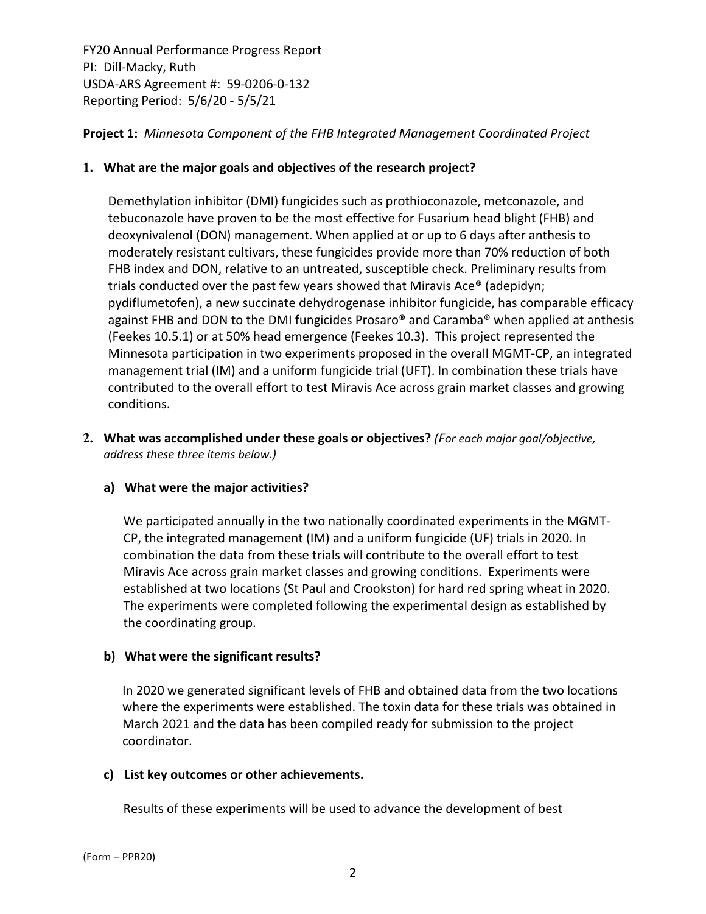**Project 1:** *Minnesota Component of the FHB Integrated Management Coordinated Project*

## **1. What are the major goals and objectives of the research project?**

Demethylation inhibitor (DMI) fungicides such as prothioconazole, metconazole, and tebuconazole have proven to be the most effective for Fusarium head blight (FHB) and deoxynivalenol (DON) management. When applied at or up to 6 days after anthesis to moderately resistant cultivars, these fungicides provide more than 70% reduction of both FHB index and DON, relative to an untreated, susceptible check. Preliminary results from trials conducted over the past few years showed that Miravis Ace® (adepidyn; pydiflumetofen), a new succinate dehydrogenase inhibitor fungicide, has comparable efficacy against FHB and DON to the DMI fungicides Prosaro® and Caramba® when applied at anthesis (Feekes 10.5.1) or at 50% head emergence (Feekes 10.3). This project represented the Minnesota participation in two experiments proposed in the overall MGMT‐CP, an integrated management trial (IM) and a uniform fungicide trial (UFT). In combination these trials have contributed to the overall effort to test Miravis Ace across grain market classes and growing conditions.

**2. What was accomplished under these goals or objectives?** *(For each major goal/objective, address these three items below.)*

#### **a) What were the major activities?**

We participated annually in the two nationally coordinated experiments in the MGMT‐ CP, the integrated management (IM) and a uniform fungicide (UF) trials in 2020. In combination the data from these trials will contribute to the overall effort to test Miravis Ace across grain market classes and growing conditions. Experiments were established at two locations (St Paul and Crookston) for hard red spring wheat in 2020. The experiments were completed following the experimental design as established by the coordinating group.

#### **b) What were the significant results?**

In 2020 we generated significant levels of FHB and obtained data from the two locations where the experiments were established. The toxin data for these trials was obtained in March 2021 and the data has been compiled ready for submission to the project coordinator.

## **c) List key outcomes or other achievements.**

Results of these experiments will be used to advance the development of best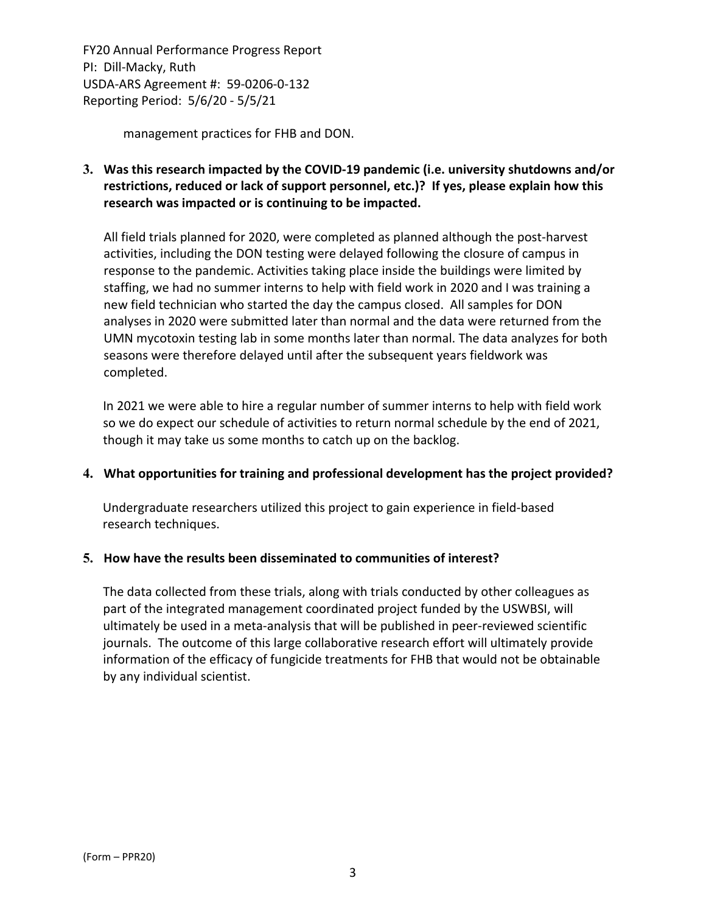management practices for FHB and DON.

**3. Was this research impacted by the COVID‐19 pandemic (i.e. university shutdowns and/or restrictions, reduced or lack of support personnel, etc.)? If yes, please explain how this research was impacted or is continuing to be impacted.**

All field trials planned for 2020, were completed as planned although the post‐harvest activities, including the DON testing were delayed following the closure of campus in response to the pandemic. Activities taking place inside the buildings were limited by staffing, we had no summer interns to help with field work in 2020 and I was training a new field technician who started the day the campus closed. All samples for DON analyses in 2020 were submitted later than normal and the data were returned from the UMN mycotoxin testing lab in some months later than normal. The data analyzes for both seasons were therefore delayed until after the subsequent years fieldwork was completed.

In 2021 we were able to hire a regular number of summer interns to help with field work so we do expect our schedule of activities to return normal schedule by the end of 2021, though it may take us some months to catch up on the backlog.

#### **4. What opportunities for training and professional development has the project provided?**

Undergraduate researchers utilized this project to gain experience in field‐based research techniques.

#### **5. How have the results been disseminated to communities of interest?**

The data collected from these trials, along with trials conducted by other colleagues as part of the integrated management coordinated project funded by the USWBSI, will ultimately be used in a meta‐analysis that will be published in peer‐reviewed scientific journals. The outcome of this large collaborative research effort will ultimately provide information of the efficacy of fungicide treatments for FHB that would not be obtainable by any individual scientist.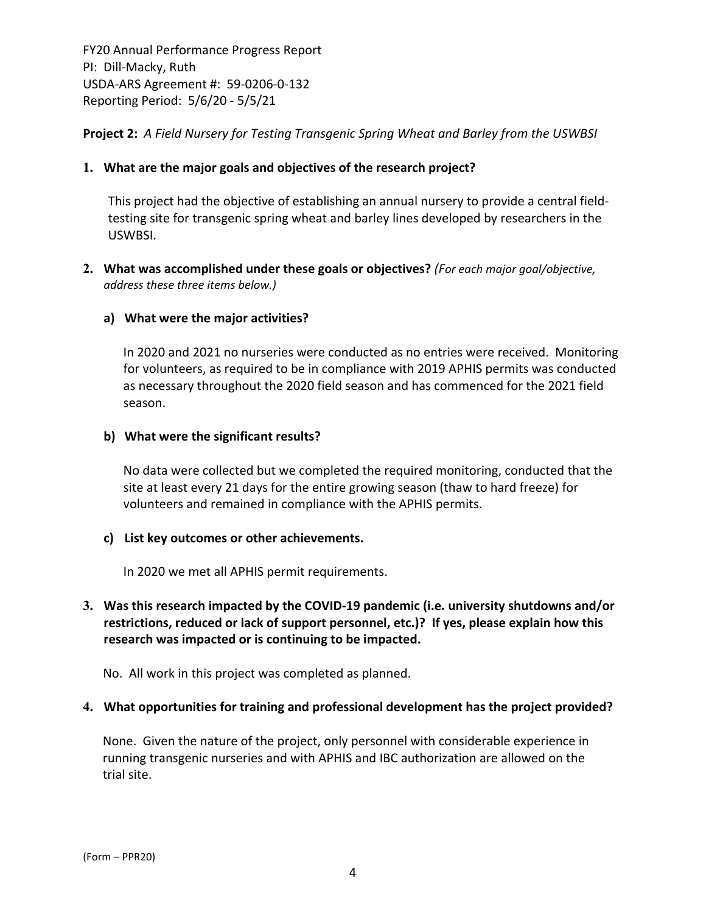**Project 2:** *A Field Nursery for Testing Transgenic Spring Wheat and Barley from the USWBSI*

## **1. What are the major goals and objectives of the research project?**

This project had the objective of establishing an annual nursery to provide a central field‐ testing site for transgenic spring wheat and barley lines developed by researchers in the USWBSI.

**2. What was accomplished under these goals or objectives?** *(For each major goal/objective, address these three items below.)*

#### **a) What were the major activities?**

In 2020 and 2021 no nurseries were conducted as no entries were received. Monitoring for volunteers, as required to be in compliance with 2019 APHIS permits was conducted as necessary throughout the 2020 field season and has commenced for the 2021 field season.

#### **b) What were the significant results?**

No data were collected but we completed the required monitoring, conducted that the site at least every 21 days for the entire growing season (thaw to hard freeze) for volunteers and remained in compliance with the APHIS permits.

#### **c) List key outcomes or other achievements.**

In 2020 we met all APHIS permit requirements.

## **3. Was this research impacted by the COVID‐19 pandemic (i.e. university shutdowns and/or restrictions, reduced or lack of support personnel, etc.)? If yes, please explain how this research was impacted or is continuing to be impacted.**

No. All work in this project was completed as planned.

#### **4. What opportunities for training and professional development has the project provided?**

None. Given the nature of the project, only personnel with considerable experience in running transgenic nurseries and with APHIS and IBC authorization are allowed on the trial site.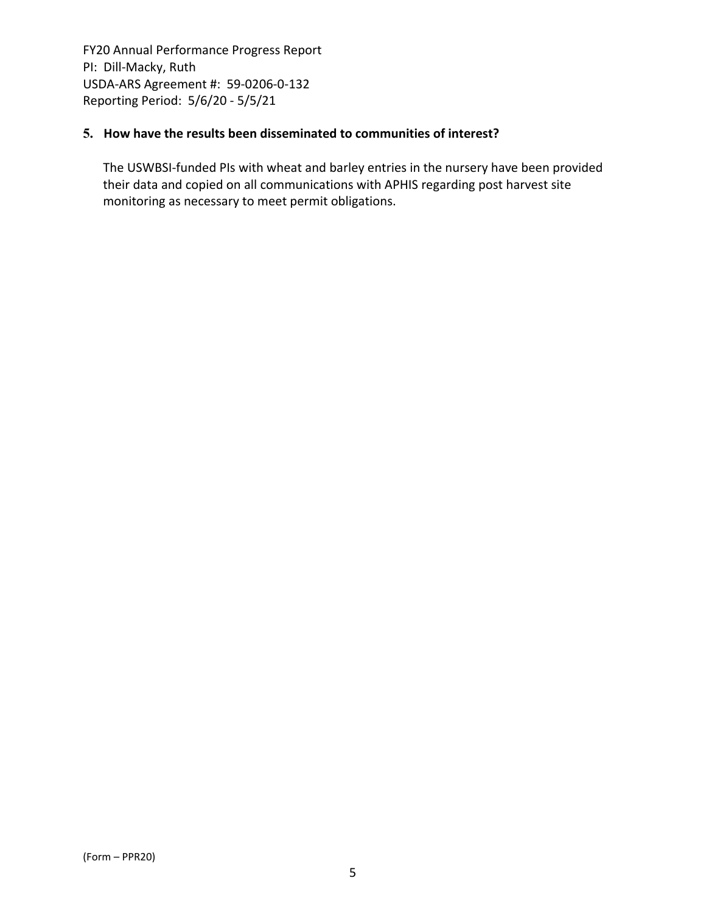## **5. How have the results been disseminated to communities of interest?**

The USWBSI‐funded PIs with wheat and barley entries in the nursery have been provided their data and copied on all communications with APHIS regarding post harvest site monitoring as necessary to meet permit obligations.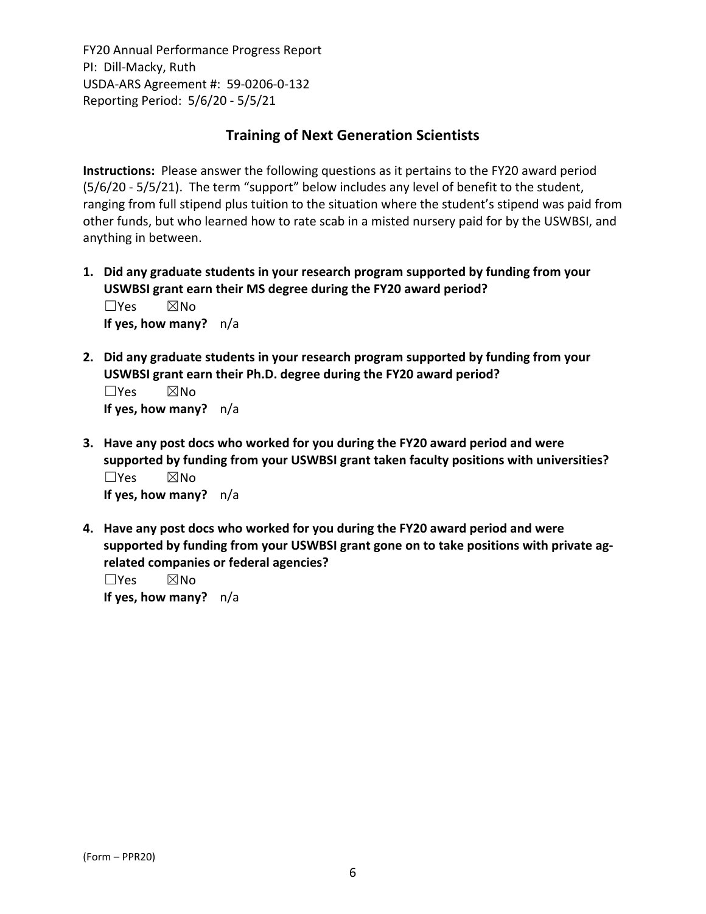# **Training of Next Generation Scientists**

**Instructions:** Please answer the following questions as it pertains to the FY20 award period (5/6/20 ‐ 5/5/21). The term "support" below includes any level of benefit to the student, ranging from full stipend plus tuition to the situation where the student's stipend was paid from other funds, but who learned how to rate scab in a misted nursery paid for by the USWBSI, and anything in between.

- **1. Did any graduate students in your research program supported by funding from your USWBSI grant earn their MS degree during the FY20 award period?** ☐Yes ☒No **If yes, how many?** n/a
- **2. Did any graduate students in your research program supported by funding from your USWBSI grant earn their Ph.D. degree during the FY20 award period?**

☐Yes ☒No **If yes, how many?** n/a

- **3. Have any post docs who worked for you during the FY20 award period and were supported by funding from your USWBSI grant taken faculty positions with universities?** ☐Yes ☒No **If yes, how many?** n/a
- **4. Have any post docs who worked for you during the FY20 award period and were supported by funding from your USWBSI grant gone on to take positions with private ag‐ related companies or federal agencies?**

☐Yes ☒No **If yes, how many?** n/a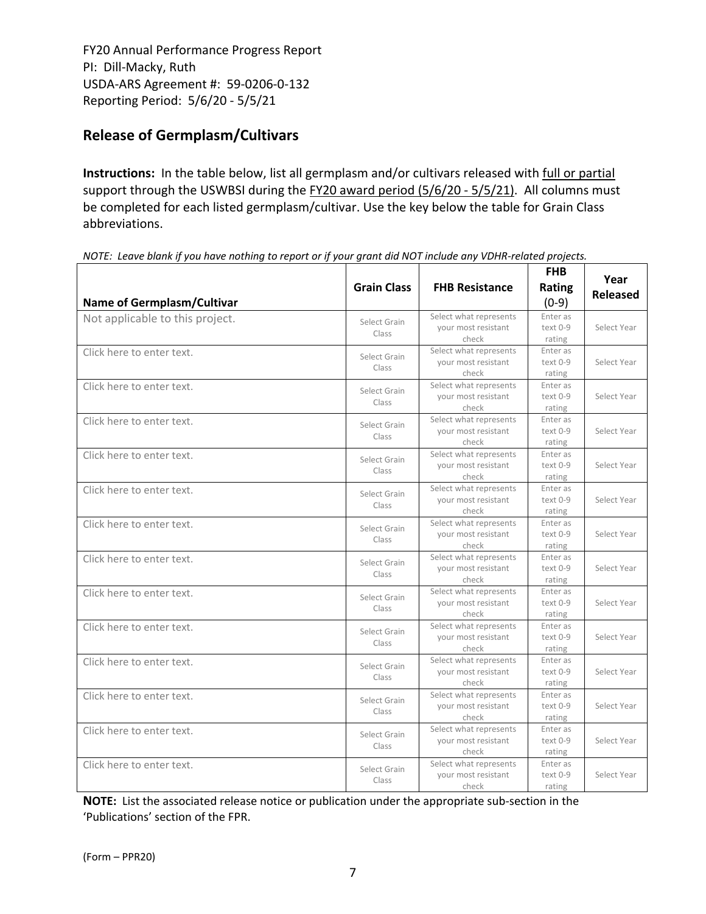# **Release of Germplasm/Cultivars**

**Instructions:** In the table below, list all germplasm and/or cultivars released with full or partial support through the USWBSI during the FY20 award period (5/6/20 - 5/5/21). All columns must be completed for each listed germplasm/cultivar. Use the key below the table for Grain Class abbreviations. 

| <b>Name of Germplasm/Cultivar</b> | <b>Grain Class</b>    | <b>FHB Resistance</b>                                  | <b>FHB</b><br><b>Rating</b><br>$(0-9)$ | Year<br><b>Released</b> |
|-----------------------------------|-----------------------|--------------------------------------------------------|----------------------------------------|-------------------------|
| Not applicable to this project.   | Select Grain<br>Class | Select what represents<br>your most resistant<br>check | Enter as<br>text 0-9<br>rating         | Select Year             |
| Click here to enter text.         | Select Grain<br>Class | Select what represents<br>your most resistant<br>check | Enter as<br>text 0-9<br>rating         | Select Year             |
| Click here to enter text.         | Select Grain<br>Class | Select what represents<br>your most resistant<br>check | Enter as<br>text 0-9<br>rating         | Select Year             |
| Click here to enter text.         | Select Grain<br>Class | Select what represents<br>your most resistant<br>check | Enter as<br>text 0-9<br>rating         | Select Year             |
| Click here to enter text.         | Select Grain<br>Class | Select what represents<br>your most resistant<br>check | Enter as<br>text 0-9<br>rating         | Select Year             |
| Click here to enter text.         | Select Grain<br>Class | Select what represents<br>your most resistant<br>check | Enter as<br>text 0-9<br>rating         | Select Year             |
| Click here to enter text.         | Select Grain<br>Class | Select what represents<br>your most resistant<br>check | Enter as<br>text 0-9<br>rating         | Select Year             |
| Click here to enter text.         | Select Grain<br>Class | Select what represents<br>vour most resistant<br>check | Enter as<br>text 0-9<br>rating         | Select Year             |
| Click here to enter text.         | Select Grain<br>Class | Select what represents<br>your most resistant<br>check | Enter as<br>text 0-9<br>rating         | Select Year             |
| Click here to enter text.         | Select Grain<br>Class | Select what represents<br>your most resistant<br>check | Enter as<br>text 0-9<br>rating         | Select Year             |
| Click here to enter text.         | Select Grain<br>Class | Select what represents<br>your most resistant<br>check | Enter as<br>text 0-9<br>rating         | Select Year             |
| Click here to enter text.         | Select Grain<br>Class | Select what represents<br>your most resistant<br>check | Enter as<br>text 0-9<br>rating         | Select Year             |
| Click here to enter text.         | Select Grain<br>Class | Select what represents<br>your most resistant<br>check | Enter as<br>text 0-9<br>rating         | Select Year             |
| Click here to enter text.         | Select Grain<br>Class | Select what represents<br>your most resistant<br>check | Enter as<br>text 0-9<br>rating         | Select Year             |

NOTE: Leave blank if you have nothing to report or if your grant did NOT include any VDHR-related projects.

**NOTE:** List the associated release notice or publication under the appropriate sub-section in the 'Publications' section of the FPR.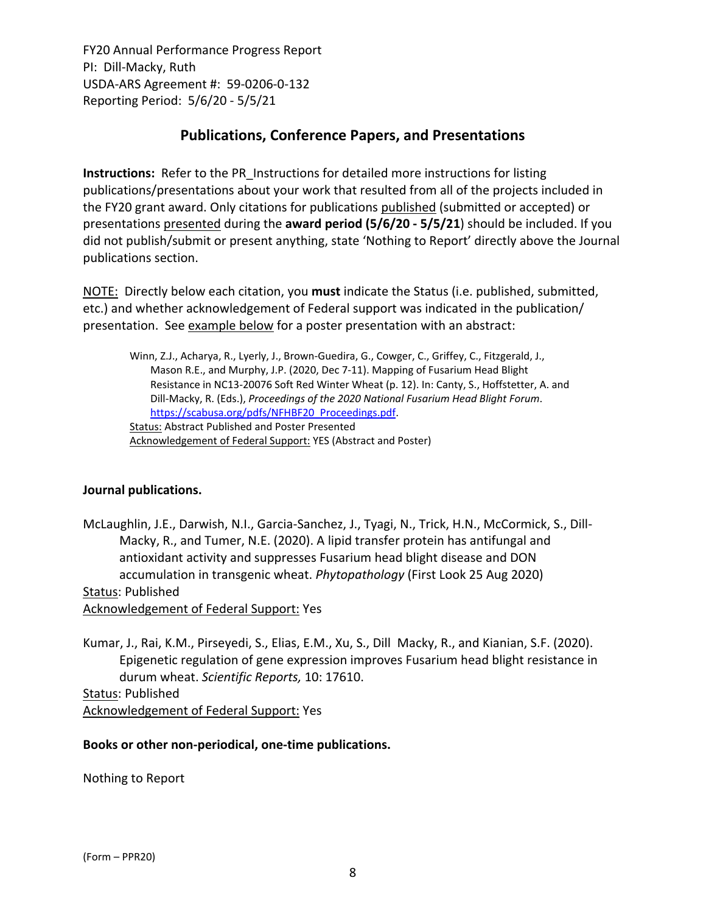# **Publications, Conference Papers, and Presentations**

**Instructions:** Refer to the PR\_Instructions for detailed more instructions for listing publications/presentations about your work that resulted from all of the projects included in the FY20 grant award. Only citations for publications published (submitted or accepted) or presentations presented during the **award period (5/6/20 ‐ 5/5/21**) should be included. If you did not publish/submit or present anything, state 'Nothing to Report' directly above the Journal publications section.

NOTE: Directly below each citation, you **must** indicate the Status (i.e. published, submitted, etc.) and whether acknowledgement of Federal support was indicated in the publication/ presentation. See example below for a poster presentation with an abstract:

Winn, Z.J., Acharya, R., Lyerly, J., Brown‐Guedira, G., Cowger, C., Griffey, C., Fitzgerald, J., Mason R.E., and Murphy, J.P. (2020, Dec 7‐11). Mapping of Fusarium Head Blight Resistance in NC13‐20076 Soft Red Winter Wheat (p. 12). In: Canty, S., Hoffstetter, A. and Dill‐Macky, R. (Eds.), *Proceedings of the 2020 National Fusarium Head Blight Forum*. https://scabusa.org/pdfs/NFHBF20\_Proceedings.pdf. Status: Abstract Published and Poster Presented Acknowledgement of Federal Support: YES (Abstract and Poster)

#### **Journal publications.**

McLaughlin, J.E., Darwish, N.I., Garcia‐Sanchez, J., Tyagi, N., Trick, H.N., McCormick, S., Dill‐ Macky, R., and Tumer, N.E. (2020). A lipid transfer protein has antifungal and antioxidant activity and suppresses Fusarium head blight disease and DON accumulation in transgenic wheat. *Phytopathology* (First Look 25 Aug 2020) Status: Published Acknowledgement of Federal Support: Yes

Kumar, J., Rai, K.M., Pirseyedi, S., Elias, E.M., Xu, S., Dill Macky, R., and Kianian, S.F. (2020). Epigenetic regulation of gene expression improves Fusarium head blight resistance in durum wheat. *Scientific Reports,* 10: 17610.

Status: Published Acknowledgement of Federal Support: Yes

#### **Books or other non‐periodical, one‐time publications.**

Nothing to Report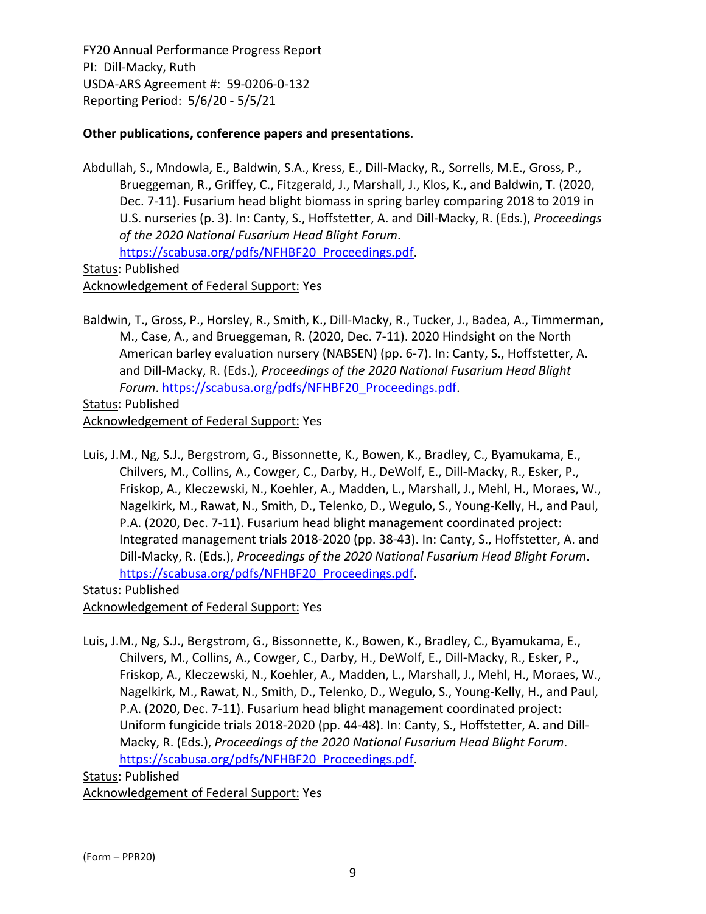## **Other publications, conference papers and presentations**.

Abdullah, S., Mndowla, E., Baldwin, S.A., Kress, E., Dill‐Macky, R., Sorrells, M.E., Gross, P., Brueggeman, R., Griffey, C., Fitzgerald, J., Marshall, J., Klos, K., and Baldwin, T. (2020, Dec. 7‐11). Fusarium head blight biomass in spring barley comparing 2018 to 2019 in U.S. nurseries (p. 3). In: Canty, S., Hoffstetter, A. and Dill‐Macky, R. (Eds.), *Proceedings of the 2020 National Fusarium Head Blight Forum*. https://scabusa.org/pdfs/NFHBF20\_Proceedings.pdf.

Status: Published

Acknowledgement of Federal Support: Yes

Baldwin, T., Gross, P., Horsley, R., Smith, K., Dill‐Macky, R., Tucker, J., Badea, A., Timmerman, M., Case, A., and Brueggeman, R. (2020, Dec. 7‐11). 2020 Hindsight on the North American barley evaluation nursery (NABSEN) (pp. 6‐7). In: Canty, S., Hoffstetter, A. and Dill‐Macky, R. (Eds.), *Proceedings of the 2020 National Fusarium Head Blight Forum*. https://scabusa.org/pdfs/NFHBF20\_Proceedings.pdf.

Status: Published

Acknowledgement of Federal Support: Yes

Luis, J.M., Ng, S.J., Bergstrom, G., Bissonnette, K., Bowen, K., Bradley, C., Byamukama, E., Chilvers, M., Collins, A., Cowger, C., Darby, H., DeWolf, E., Dill‐Macky, R., Esker, P., Friskop, A., Kleczewski, N., Koehler, A., Madden, L., Marshall, J., Mehl, H., Moraes, W., Nagelkirk, M., Rawat, N., Smith, D., Telenko, D., Wegulo, S., Young‐Kelly, H., and Paul, P.A. (2020, Dec. 7‐11). Fusarium head blight management coordinated project: Integrated management trials 2018‐2020 (pp. 38‐43). In: Canty, S., Hoffstetter, A. and Dill‐Macky, R. (Eds.), *Proceedings of the 2020 National Fusarium Head Blight Forum*. https://scabusa.org/pdfs/NFHBF20\_Proceedings.pdf.

Status: Published Acknowledgement of Federal Support: Yes

Luis, J.M., Ng, S.J., Bergstrom, G., Bissonnette, K., Bowen, K., Bradley, C., Byamukama, E., Chilvers, M., Collins, A., Cowger, C., Darby, H., DeWolf, E., Dill‐Macky, R., Esker, P., Friskop, A., Kleczewski, N., Koehler, A., Madden, L., Marshall, J., Mehl, H., Moraes, W., Nagelkirk, M., Rawat, N., Smith, D., Telenko, D., Wegulo, S., Young‐Kelly, H., and Paul, P.A. (2020, Dec. 7‐11). Fusarium head blight management coordinated project: Uniform fungicide trials 2018‐2020 (pp. 44‐48). In: Canty, S., Hoffstetter, A. and Dill‐ Macky, R. (Eds.), *Proceedings of the 2020 National Fusarium Head Blight Forum*. https://scabusa.org/pdfs/NFHBF20\_Proceedings.pdf.

Status: Published Acknowledgement of Federal Support: Yes